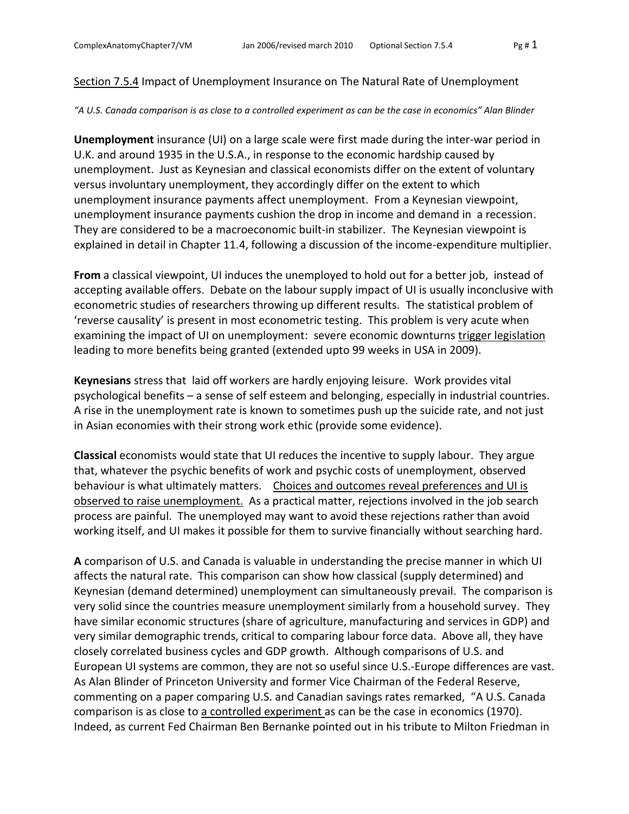## Section 7.5.4 Impact of Unemployment Insurance on The Natural Rate of Unemployment

## *"A U.S. Canada comparison is as close to a controlled experiment as can be the case in economics" Alan Blinder*

**Unemployment** insurance (UI) on a large scale were first made during the inter-war period in U.K. and around 1935 in the U.S.A., in response to the economic hardship caused by unemployment. Just as Keynesian and classical economists differ on the extent of voluntary versus involuntary unemployment, they accordingly differ on the extent to which unemployment insurance payments affect unemployment. From a Keynesian viewpoint, unemployment insurance payments cushion the drop in income and demand in a recession. They are considered to be a macroeconomic built-in stabilizer. The Keynesian viewpoint is explained in detail in Chapter 11.4, following a discussion of the income-expenditure multiplier.

**From** a classical viewpoint, UI induces the unemployed to hold out for a better job, instead of accepting available offers. Debate on the labour supply impact of UI is usually inconclusive with econometric studies of researchers throwing up different results. The statistical problem of 'reverse causality' is present in most econometric testing. This problem is very acute when examining the impact of UI on unemployment: severe economic downturns trigger legislation leading to more benefits being granted (extended upto 99 weeks in USA in 2009).

**Keynesians** stress that laid off workers are hardly enjoying leisure. Work provides vital psychological benefits – a sense of self esteem and belonging, especially in industrial countries. A rise in the unemployment rate is known to sometimes push up the suicide rate, and not just in Asian economies with their strong work ethic (provide some evidence).

**Classical** economists would state that UI reduces the incentive to supply labour. They argue that, whatever the psychic benefits of work and psychic costs of unemployment, observed behaviour is what ultimately matters. Choices and outcomes reveal preferences and UI is observed to raise unemployment. As a practical matter, rejections involved in the job search process are painful. The unemployed may want to avoid these rejections rather than avoid working itself, and UI makes it possible for them to survive financially without searching hard.

**A** comparison of U.S. and Canada is valuable in understanding the precise manner in which UI affects the natural rate. This comparison can show how classical (supply determined) and Keynesian (demand determined) unemployment can simultaneously prevail. The comparison is very solid since the countries measure unemployment similarly from a household survey. They have similar economic structures (share of agriculture, manufacturing and services in GDP) and very similar demographic trends, critical to comparing labour force data. Above all, they have closely correlated business cycles and GDP growth. Although comparisons of U.S. and European UI systems are common, they are not so useful since U.S.-Europe differences are vast. As Alan Blinder of Princeton University and former Vice Chairman of the Federal Reserve, commenting on a paper comparing U.S. and Canadian savings rates remarked, "A U.S. Canada comparison is as close to a controlled experiment as can be the case in economics (1970). Indeed, as current Fed Chairman Ben Bernanke pointed out in his tribute to Milton Friedman in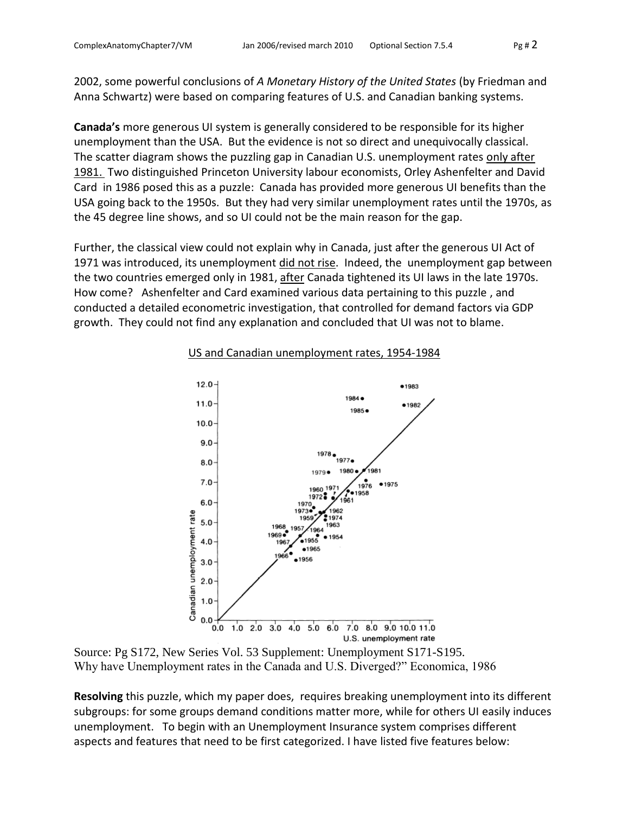2002, some powerful conclusions of *A Monetary History of the United States* (by Friedman and Anna Schwartz) were based on comparing features of U.S. and Canadian banking systems.

**Canada's** more generous UI system is generally considered to be responsible for its higher unemployment than the USA. But the evidence is not so direct and unequivocally classical. The scatter diagram shows the puzzling gap in Canadian U.S. unemployment rates only after 1981. Two distinguished Princeton University labour economists, Orley Ashenfelter and David Card in 1986 posed this as a puzzle: Canada has provided more generous UI benefits than the USA going back to the 1950s. But they had very similar unemployment rates until the 1970s, as the 45 degree line shows, and so UI could not be the main reason for the gap.

Further, the classical view could not explain why in Canada, just after the generous UI Act of 1971 was introduced, its unemployment did not rise. Indeed, the unemployment gap between the two countries emerged only in 1981, after Canada tightened its UI laws in the late 1970s. How come? Ashenfelter and Card examined various data pertaining to this puzzle , and conducted a detailed econometric investigation, that controlled for demand factors via GDP growth. They could not find any explanation and concluded that UI was not to blame.



## US and Canadian unemployment rates, 1954-1984

Source: Pg S172, New Series Vol. 53 Supplement: Unemployment S171-S195. Why have Unemployment rates in the Canada and U.S. Diverged?" Economica, 1986

**Resolving** this puzzle, which my paper does, requires breaking unemployment into its different subgroups: for some groups demand conditions matter more, while for others UI easily induces unemployment. To begin with an Unemployment Insurance system comprises different aspects and features that need to be first categorized. I have listed five features below: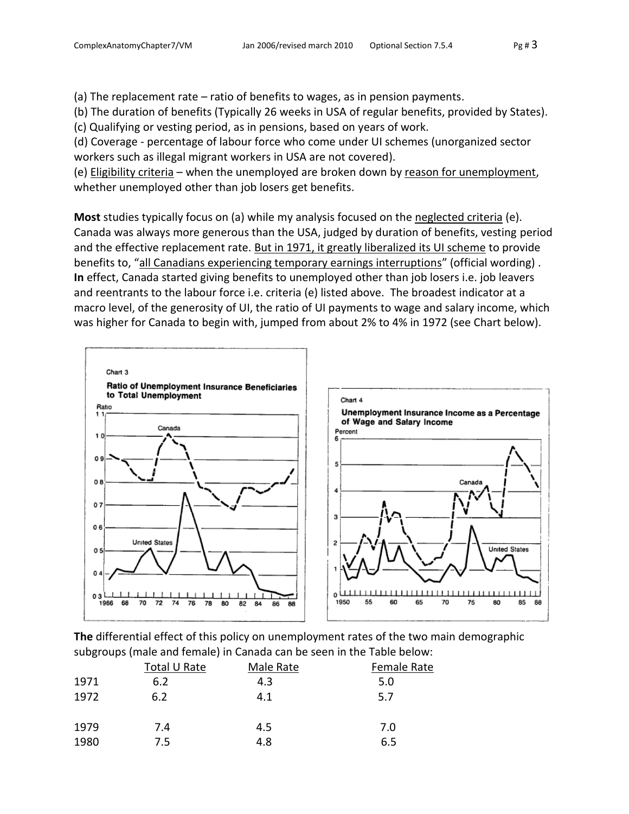(a) The replacement rate – ratio of benefits to wages, as in pension payments.

(b) The duration of benefits (Typically 26 weeks in USA of regular benefits, provided by States).

(c) Qualifying or vesting period, as in pensions, based on years of work.

(d) Coverage - percentage of labour force who come under UI schemes (unorganized sector workers such as illegal migrant workers in USA are not covered).

(e) Eligibility criteria – when the unemployed are broken down by reason for unemployment, whether unemployed other than job losers get benefits.

**Most** studies typically focus on (a) while my analysis focused on the neglected criteria (e). Canada was always more generous than the USA, judged by duration of benefits, vesting period and the effective replacement rate. But in 1971, it greatly liberalized its UI scheme to provide benefits to, "all Canadians experiencing temporary earnings interruptions" (official wording). **In** effect, Canada started giving benefits to unemployed other than job losers i.e. job leavers and reentrants to the labour force i.e. criteria (e) listed above. The broadest indicator at a macro level, of the generosity of UI, the ratio of UI payments to wage and salary income, which was higher for Canada to begin with, jumped from about 2% to 4% in 1972 (see Chart below).



**The** differential effect of this policy on unemployment rates of the two main demographic subgroups (male and female) in Canada can be seen in the Table below:

|      | Total U Rate | Male Rate | Female Rate |  |
|------|--------------|-----------|-------------|--|
| 1971 | 6.2          | 4.3       | 5.0         |  |
| 1972 | 6.2          | 4.1       | 5.7         |  |
| 1979 | 7.4          | 4.5       | 7.0         |  |
| 1980 | 7.5          | 4.8       | 6.5         |  |